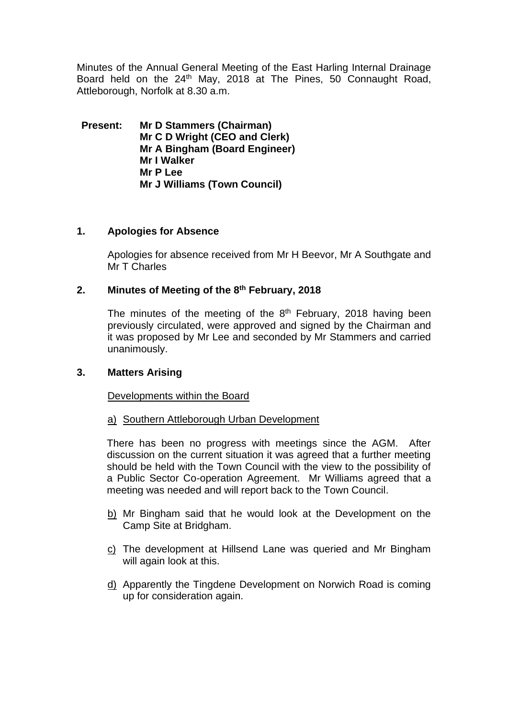Minutes of the Annual General Meeting of the East Harling Internal Drainage Board held on the 24<sup>th</sup> May, 2018 at The Pines, 50 Connaught Road, Attleborough, Norfolk at 8.30 a.m.

**Present: Mr D Stammers (Chairman) Mr C D Wright (CEO and Clerk) Mr A Bingham (Board Engineer) Mr I Walker Mr P Lee Mr J Williams (Town Council)**

## **1. Apologies for Absence**

Apologies for absence received from Mr H Beevor, Mr A Southgate and Mr T Charles

## **2. Minutes of Meeting of the 8 th February, 2018**

The minutes of the meeting of the  $8<sup>th</sup>$  February, 2018 having been previously circulated, were approved and signed by the Chairman and it was proposed by Mr Lee and seconded by Mr Stammers and carried unanimously.

## **3. Matters Arising**

Developments within the Board

#### a) Southern Attleborough Urban Development

There has been no progress with meetings since the AGM. After discussion on the current situation it was agreed that a further meeting should be held with the Town Council with the view to the possibility of a Public Sector Co-operation Agreement. Mr Williams agreed that a meeting was needed and will report back to the Town Council.

- b) Mr Bingham said that he would look at the Development on the Camp Site at Bridgham.
- c) The development at Hillsend Lane was queried and Mr Bingham will again look at this.
- d) Apparently the Tingdene Development on Norwich Road is coming up for consideration again.